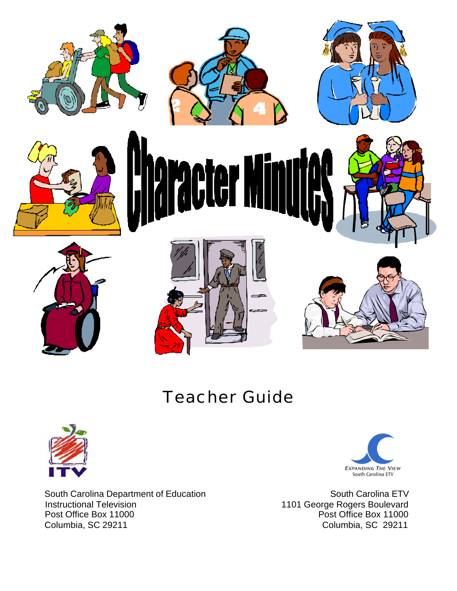

## Teacher Guide



 South Carolina Department of Education Instructional Television Post Office Box 11000 Columbia, SC 29211



 South Carolina ETV 1101 George Rogers Boulevard Post Office Box 11000 Columbia, SC 29211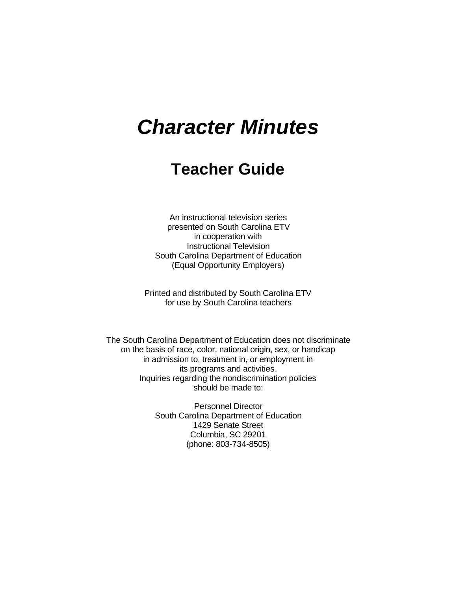# *Character Minutes*

## **Teacher Guide**

An instructional television series presented on South Carolina ETV in cooperation with Instructional Television South Carolina Department of Education (Equal Opportunity Employers)

Printed and distributed by South Carolina ETV for use by South Carolina teachers

The South Carolina Department of Education does not discriminate on the basis of race, color, national origin, sex, or handicap in admission to, treatment in, or employment in its programs and activities. Inquiries regarding the nondiscrimination policies should be made to:

> Personnel Director South Carolina Department of Education 1429 Senate Street Columbia, SC 29201 (phone: 803-734-8505)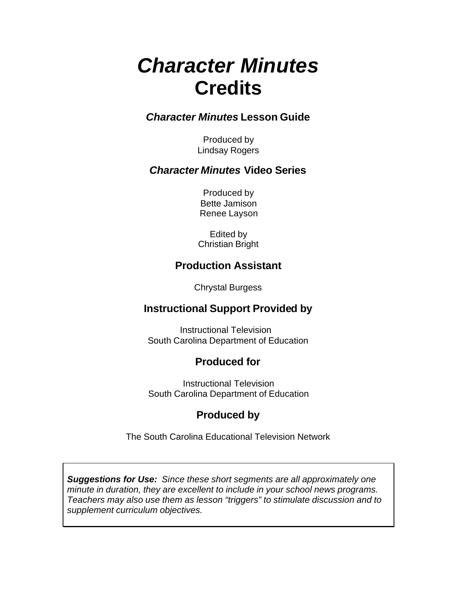# *Character Minutes* **Credits**

### *Character Minutes* **Lesson Guide**

Produced by Lindsay Rogers

### *Character Minutes* **Video Series**

Produced by Bette Jamison Renee Layson

Edited by Christian Bright

## **Production Assistant**

Chrystal Burgess

## **Instructional Support Provided by**

 Instructional Television South Carolina Department of Education

## **Produced for**

Instructional Television South Carolina Department of Education

## **Produced by**

The South Carolina Educational Television Network

*Suggestions for Use: Since these short segments are all approximately one minute in duration, they are excellent to include in your school news programs. Teachers may also use them as lesson "triggers" to stimulate discussion and to supplement curriculum objectives.*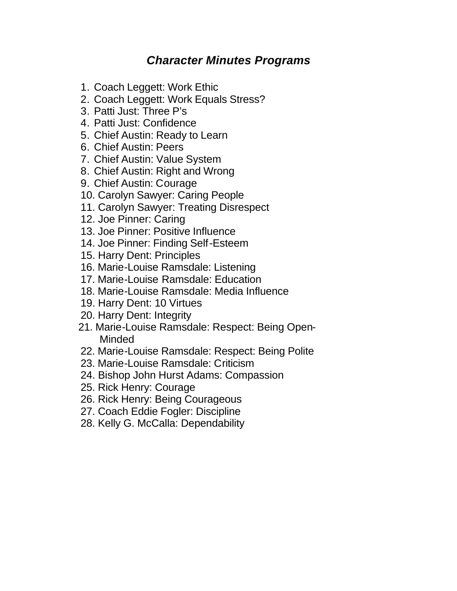## *Character Minutes Programs*

- 1. Coach Leggett: Work Ethic
- 2. Coach Leggett: Work Equals Stress?
- 3. Patti Just: Three P's
- 4. Patti Just: Confidence
- 5. Chief Austin: Ready to Learn
- 6. Chief Austin: Peers
- 7. Chief Austin: Value System
- 8. Chief Austin: Right and Wrong
- 9. Chief Austin: Courage
- 10. Carolyn Sawyer: Caring People
- 11. Carolyn Sawyer: Treating Disrespect
- 12. Joe Pinner: Caring
- 13. Joe Pinner: Positive Influence
- 14. Joe Pinner: Finding Self-Esteem
- 15. Harry Dent: Principles
- 16. Marie-Louise Ramsdale: Listening
- 17. Marie-Louise Ramsdale: Education
- 18. Marie-Louise Ramsdale: Media Influence
- 19. Harry Dent: 10 Virtues
- 20. Harry Dent: Integrity
- 21. Marie-Louise Ramsdale: Respect: Being Open- Minded
- 22. Marie-Louise Ramsdale: Respect: Being Polite
- 23. Marie-Louise Ramsdale: Criticism
- 24. Bishop John Hurst Adams: Compassion
- 25. Rick Henry: Courage
- 26. Rick Henry: Being Courageous
- 27. Coach Eddie Fogler: Discipline
- 28. Kelly G. McCalla: Dependability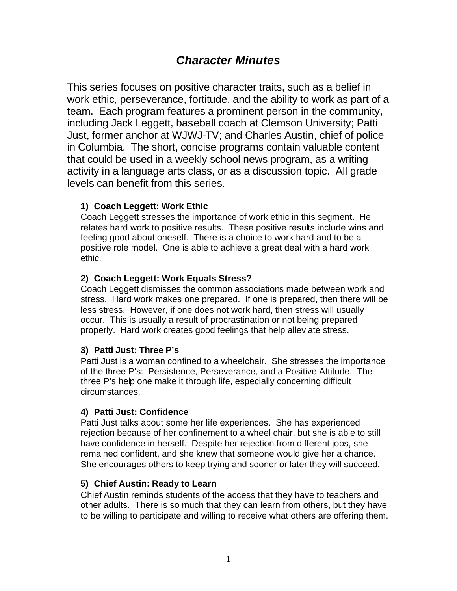## *Character Minutes*

This series focuses on positive character traits, such as a belief in work ethic, perseverance, fortitude, and the ability to work as part of a team. Each program features a prominent person in the community, including Jack Leggett, baseball coach at Clemson University; Patti Just, former anchor at WJWJ-TV; and Charles Austin, chief of police in Columbia. The short, concise programs contain valuable content that could be used in a weekly school news program, as a writing activity in a language arts class, or as a discussion topic. All grade levels can benefit from this series.

#### **1) Coach Leggett: Work Ethic**

Coach Leggett stresses the importance of work ethic in this segment. He relates hard work to positive results. These positive results include wins and feeling good about oneself. There is a choice to work hard and to be a positive role model. One is able to achieve a great deal with a hard work ethic.

#### **2) Coach Leggett: Work Equals Stress?**

Coach Leggett dismisses the common associations made between work and stress. Hard work makes one prepared. If one is prepared, then there will be less stress. However, if one does not work hard, then stress will usually occur. This is usually a result of procrastination or not being prepared properly. Hard work creates good feelings that help alleviate stress.

#### **3) Patti Just: Three P's**

Patti Just is a woman confined to a wheelchair. She stresses the importance of the three P's: Persistence, Perseverance, and a Positive Attitude. The three P's help one make it through life, especially concerning difficult circumstances.

#### **4) Patti Just: Confidence**

Patti Just talks about some her life experiences. She has experienced rejection because of her confinement to a wheel chair, but she is able to still have confidence in herself. Despite her rejection from different jobs, she remained confident, and she knew that someone would give her a chance. She encourages others to keep trying and sooner or later they will succeed.

#### **5) Chief Austin: Ready to Learn**

Chief Austin reminds students of the access that they have to teachers and other adults. There is so much that they can learn from others, but they have to be willing to participate and willing to receive what others are offering them.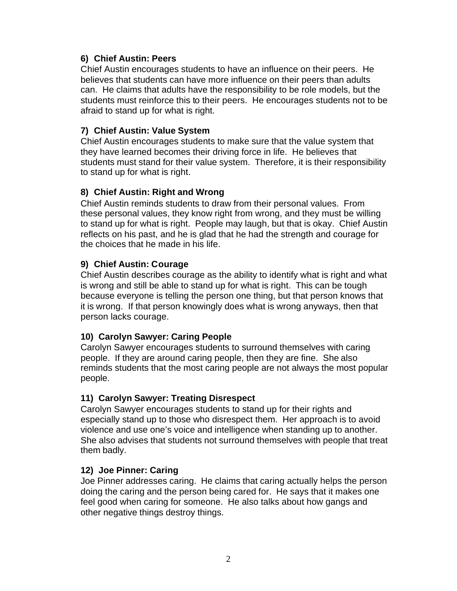#### **6) Chief Austin: Peers**

Chief Austin encourages students to have an influence on their peers. He believes that students can have more influence on their peers than adults can. He claims that adults have the responsibility to be role models, but the students must reinforce this to their peers. He encourages students not to be afraid to stand up for what is right.

#### **7) Chief Austin: Value System**

Chief Austin encourages students to make sure that the value system that they have learned becomes their driving force in life. He believes that students must stand for their value system. Therefore, it is their responsibility to stand up for what is right.

#### **8) Chief Austin: Right and Wrong**

Chief Austin reminds students to draw from their personal values. From these personal values, they know right from wrong, and they must be willing to stand up for what is right. People may laugh, but that is okay. Chief Austin reflects on his past, and he is glad that he had the strength and courage for the choices that he made in his life.

#### **9) Chief Austin: Courage**

Chief Austin describes courage as the ability to identify what is right and what is wrong and still be able to stand up for what is right. This can be tough because everyone is telling the person one thing, but that person knows that it is wrong. If that person knowingly does what is wrong anyways, then that person lacks courage.

#### **10) Carolyn Sawyer: Caring People**

Carolyn Sawyer encourages students to surround themselves with caring people. If they are around caring people, then they are fine. She also reminds students that the most caring people are not always the most popular people.

#### **11) Carolyn Sawyer: Treating Disrespect**

Carolyn Sawyer encourages students to stand up for their rights and especially stand up to those who disrespect them. Her approach is to avoid violence and use one's voice and intelligence when standing up to another. She also advises that students not surround themselves with people that treat them badly.

#### **12) Joe Pinner: Caring**

Joe Pinner addresses caring. He claims that caring actually helps the person doing the caring and the person being cared for. He says that it makes one feel good when caring for someone. He also talks about how gangs and other negative things destroy things.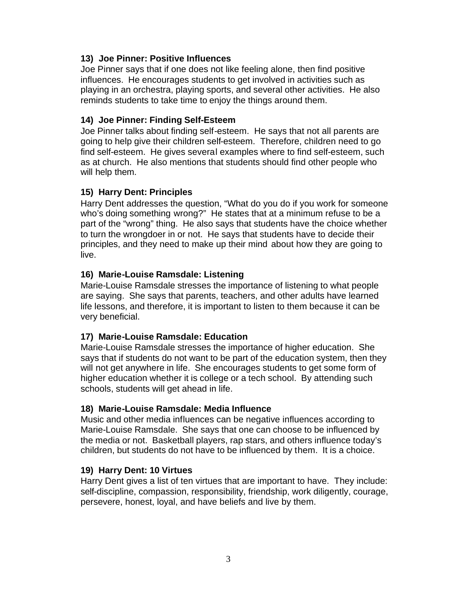#### **13) Joe Pinner: Positive Influences**

Joe Pinner says that if one does not like feeling alone, then find positive influences. He encourages students to get involved in activities such as playing in an orchestra, playing sports, and several other activities. He also reminds students to take time to enjoy the things around them.

#### **14) Joe Pinner: Finding Self-Esteem**

Joe Pinner talks about finding self-esteem. He says that not all parents are going to help give their children self-esteem. Therefore, children need to go find self-esteem. He gives several examples where to find self-esteem, such as at church. He also mentions that students should find other people who will help them.

#### **15) Harry Dent: Principles**

Harry Dent addresses the question, "What do you do if you work for someone who's doing something wrong?" He states that at a minimum refuse to be a part of the "wrong" thing. He also says that students have the choice whether to turn the wrongdoer in or not. He says that students have to decide their principles, and they need to make up their mind about how they are going to live.

#### **16) Marie-Louise Ramsdale: Listening**

Marie-Louise Ramsdale stresses the importance of listening to what people are saying. She says that parents, teachers, and other adults have learned life lessons, and therefore, it is important to listen to them because it can be very beneficial.

#### **17) Marie-Louise Ramsdale: Education**

Marie-Louise Ramsdale stresses the importance of higher education. She says that if students do not want to be part of the education system, then they will not get anywhere in life. She encourages students to get some form of higher education whether it is college or a tech school. By attending such schools, students will get ahead in life.

#### **18) Marie-Louise Ramsdale: Media Influence**

Music and other media influences can be negative influences according to Marie-Louise Ramsdale. She says that one can choose to be influenced by the media or not. Basketball players, rap stars, and others influence today's children, but students do not have to be influenced by them. It is a choice.

#### **19) Harry Dent: 10 Virtues**

Harry Dent gives a list of ten virtues that are important to have. They include: self-discipline, compassion, responsibility, friendship, work diligently, courage, persevere, honest, loyal, and have beliefs and live by them.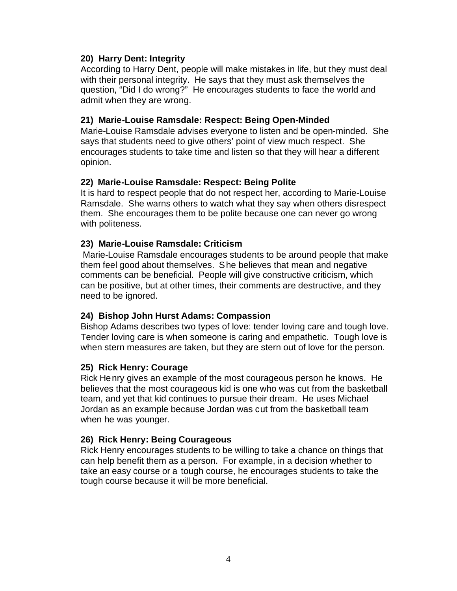#### **20) Harry Dent: Integrity**

According to Harry Dent, people will make mistakes in life, but they must deal with their personal integrity. He says that they must ask themselves the question, "Did I do wrong?" He encourages students to face the world and admit when they are wrong.

#### **21) Marie-Louise Ramsdale: Respect: Being Open-Minded**

Marie-Louise Ramsdale advises everyone to listen and be open-minded. She says that students need to give others' point of view much respect. She encourages students to take time and listen so that they will hear a different opinion.

#### **22) Marie-Louise Ramsdale: Respect: Being Polite**

It is hard to respect people that do not respect her, according to Marie-Louise Ramsdale. She warns others to watch what they say when others disrespect them. She encourages them to be polite because one can never go wrong with politeness.

#### **23) Marie-Louise Ramsdale: Criticism**

 Marie-Louise Ramsdale encourages students to be around people that make them feel good about themselves. She believes that mean and negative comments can be beneficial. People will give constructive criticism, which can be positive, but at other times, their comments are destructive, and they need to be ignored.

#### **24) Bishop John Hurst Adams: Compassion**

Bishop Adams describes two types of love: tender loving care and tough love. Tender loving care is when someone is caring and empathetic. Tough love is when stern measures are taken, but they are stern out of love for the person.

#### **25) Rick Henry: Courage**

Rick Henry gives an example of the most courageous person he knows. He believes that the most courageous kid is one who was cut from the basketball team, and yet that kid continues to pursue their dream. He uses Michael Jordan as an example because Jordan was cut from the basketball team when he was younger.

#### **26) Rick Henry: Being Courageous**

Rick Henry encourages students to be willing to take a chance on things that can help benefit them as a person. For example, in a decision whether to take an easy course or a tough course, he encourages students to take the tough course because it will be more beneficial.